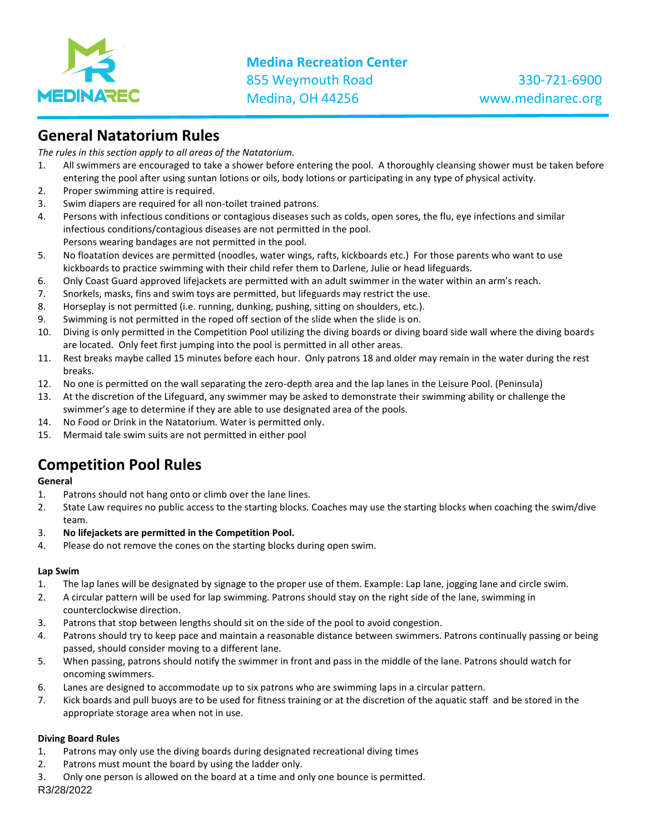

# **General Natatorium Rules**

*The rules in this section apply to all areas of the Natatorium.*

- 1. All swimmers are encouraged to take a shower before entering the pool. A thoroughly cleansing shower must be taken before entering the pool after using suntan lotions or oils, body lotions or participating in any type of physical activity.
- 2. Proper swimming attire is required.
- 3. Swim diapers are required for all non-toilet trained patrons.
- 4. Persons with infectious conditions or contagious diseases such as colds, open sores, the flu, eye infections and similar infectious conditions/contagious diseases are not permitted in the pool. Persons wearing bandages are not permitted in the pool.
- 5. No floatation devices are permitted (noodles, water wings, rafts, kickboards etc.) For those parents who want to use kickboards to practice swimming with their child refer them to Darlene, Julie or head lifeguards.
- 6. Only Coast Guard approved lifejackets are permitted with an adult swimmer in the water within an arm's reach.
- 7. Snorkels, masks, fins and swim toys are permitted, but lifeguards may restrict the use.
- 8. Horseplay is not permitted (i.e. running, dunking, pushing, sitting on shoulders, etc.).
- 9. Swimming is not permitted in the roped off section of the slide when the slide is on.
- 10. Diving is only permitted in the Competition Pool utilizing the diving boards or diving board side wall where the diving boards are located. Only feet first jumping into the pool is permitted in all other areas.
- 11. Rest breaks maybe called 15 minutes before each hour. Only patrons 18 and older may remain in the water during the rest breaks.
- 12. No one is permitted on the wall separating the zero-depth area and the lap lanes in the Leisure Pool. (Peninsula)
- 13. At the discretion of the Lifeguard, any swimmer may be asked to demonstrate their swimming ability or challenge the swimmer's age to determine if they are able to use designated area of the pools.
- 14. No Food or Drink in the Natatorium. Water is permitted only.
- 15. Mermaid tale swim suits are not permitted in either pool

# **Competition Pool Rules**

### **General**

- 1. Patrons should not hang onto or climb over the lane lines.
- 2. State Law requires no public access to the starting blocks. Coaches may use the starting blocks when coaching the swim/dive team.
- 3. **No lifejackets are permitted in the Competition Pool.**
- 4. Please do not remove the cones on the starting blocks during open swim.

### **Lap Swim**

- 1. The lap lanes will be designated by signage to the proper use of them. Example: Lap lane, jogging lane and circle swim.
- 2. A circular pattern will be used for lap swimming. Patrons should stay on the right side of the lane, swimming in counterclockwise direction.
- 3. Patrons that stop between lengths should sit on the side of the pool to avoid congestion.
- 4. Patrons should try to keep pace and maintain a reasonable distance between swimmers. Patrons continually passing or being passed, should consider moving to a different lane.
- 5. When passing, patrons should notify the swimmer in front and pass in the middle of the lane. Patrons should watch for oncoming swimmers.
- 6. Lanes are designed to accommodate up to six patrons who are swimming laps in a circular pattern.
- 7. Kick boards and pull buoys are to be used for fitness training or at the discretion of the aquatic staff and be stored in the appropriate storage area when not in use.

# **Diving Board Rules**

- 1. Patrons may only use the diving boards during designated recreational diving times
- 2. Patrons must mount the board by using the ladder only.
- 3. Only one person is allowed on the board at a time and only one bounce is permitted.

R3/28/2022